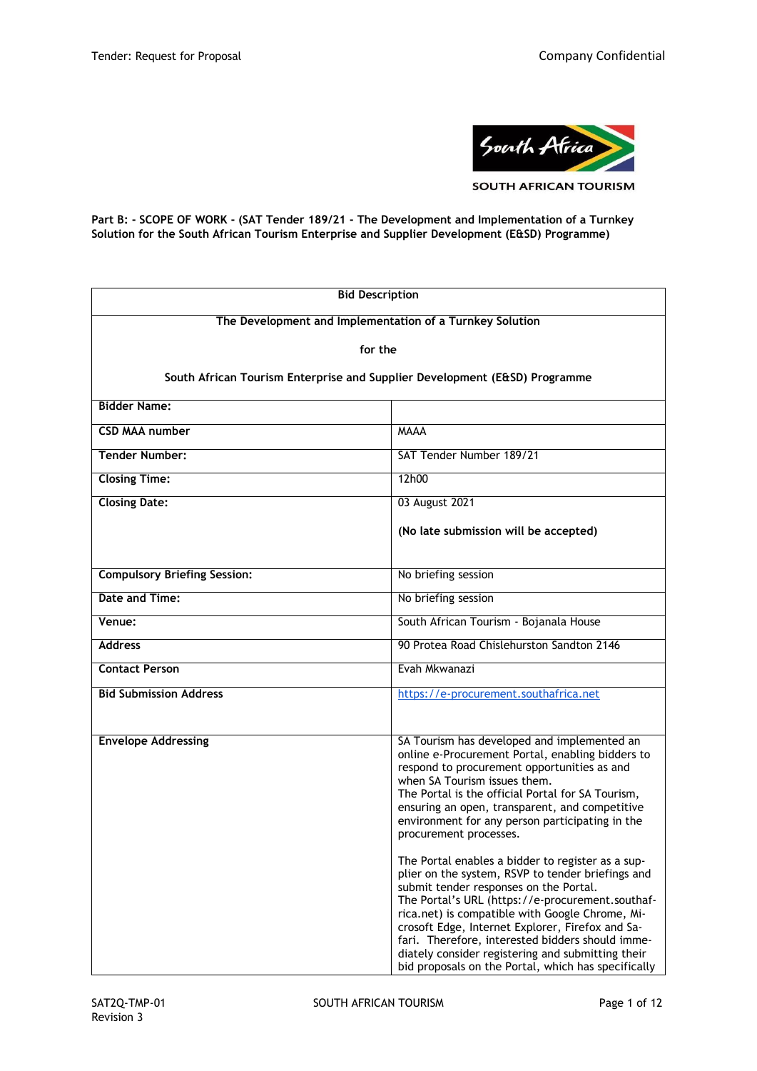

**SOUTH AFRICAN TOURISM** 

**Part B: - SCOPE OF WORK - (SAT Tender 189/21 - The Development and Implementation of a Turnkey Solution for the South African Tourism Enterprise and Supplier Development (E&SD) Programme)**

| <b>Bid Description</b>                                                     |                                                                                                                                                                                                                                                                                                                                                                                                                                                                             |  |
|----------------------------------------------------------------------------|-----------------------------------------------------------------------------------------------------------------------------------------------------------------------------------------------------------------------------------------------------------------------------------------------------------------------------------------------------------------------------------------------------------------------------------------------------------------------------|--|
| The Development and Implementation of a Turnkey Solution                   |                                                                                                                                                                                                                                                                                                                                                                                                                                                                             |  |
| for the                                                                    |                                                                                                                                                                                                                                                                                                                                                                                                                                                                             |  |
| South African Tourism Enterprise and Supplier Development (E&SD) Programme |                                                                                                                                                                                                                                                                                                                                                                                                                                                                             |  |
| <b>Bidder Name:</b>                                                        |                                                                                                                                                                                                                                                                                                                                                                                                                                                                             |  |
| <b>CSD MAA number</b>                                                      | <b>MAAA</b>                                                                                                                                                                                                                                                                                                                                                                                                                                                                 |  |
| <b>Tender Number:</b>                                                      | SAT Tender Number 189/21                                                                                                                                                                                                                                                                                                                                                                                                                                                    |  |
| <b>Closing Time:</b>                                                       | 12h00                                                                                                                                                                                                                                                                                                                                                                                                                                                                       |  |
| <b>Closing Date:</b>                                                       | 03 August 2021                                                                                                                                                                                                                                                                                                                                                                                                                                                              |  |
|                                                                            | (No late submission will be accepted)                                                                                                                                                                                                                                                                                                                                                                                                                                       |  |
|                                                                            |                                                                                                                                                                                                                                                                                                                                                                                                                                                                             |  |
| <b>Compulsory Briefing Session:</b>                                        | No briefing session                                                                                                                                                                                                                                                                                                                                                                                                                                                         |  |
| Date and Time:                                                             | No briefing session                                                                                                                                                                                                                                                                                                                                                                                                                                                         |  |
| Venue:                                                                     | South African Tourism - Bojanala House                                                                                                                                                                                                                                                                                                                                                                                                                                      |  |
| <b>Address</b>                                                             | 90 Protea Road Chislehurston Sandton 2146                                                                                                                                                                                                                                                                                                                                                                                                                                   |  |
| <b>Contact Person</b>                                                      | Evah Mkwanazi                                                                                                                                                                                                                                                                                                                                                                                                                                                               |  |
| <b>Bid Submission Address</b>                                              | https://e-procurement.southafrica.net                                                                                                                                                                                                                                                                                                                                                                                                                                       |  |
|                                                                            |                                                                                                                                                                                                                                                                                                                                                                                                                                                                             |  |
| <b>Envelope Addressing</b>                                                 | SA Tourism has developed and implemented an<br>online e-Procurement Portal, enabling bidders to<br>respond to procurement opportunities as and<br>when SA Tourism issues them.<br>The Portal is the official Portal for SA Tourism,<br>ensuring an open, transparent, and competitive<br>environment for any person participating in the<br>procurement processes.                                                                                                          |  |
|                                                                            | The Portal enables a bidder to register as a sup-<br>plier on the system, RSVP to tender briefings and<br>submit tender responses on the Portal.<br>The Portal's URL (https://e-procurement.southaf-<br>rica.net) is compatible with Google Chrome, Mi-<br>crosoft Edge, Internet Explorer, Firefox and Sa-<br>fari. Therefore, interested bidders should imme-<br>diately consider registering and submitting their<br>bid proposals on the Portal, which has specifically |  |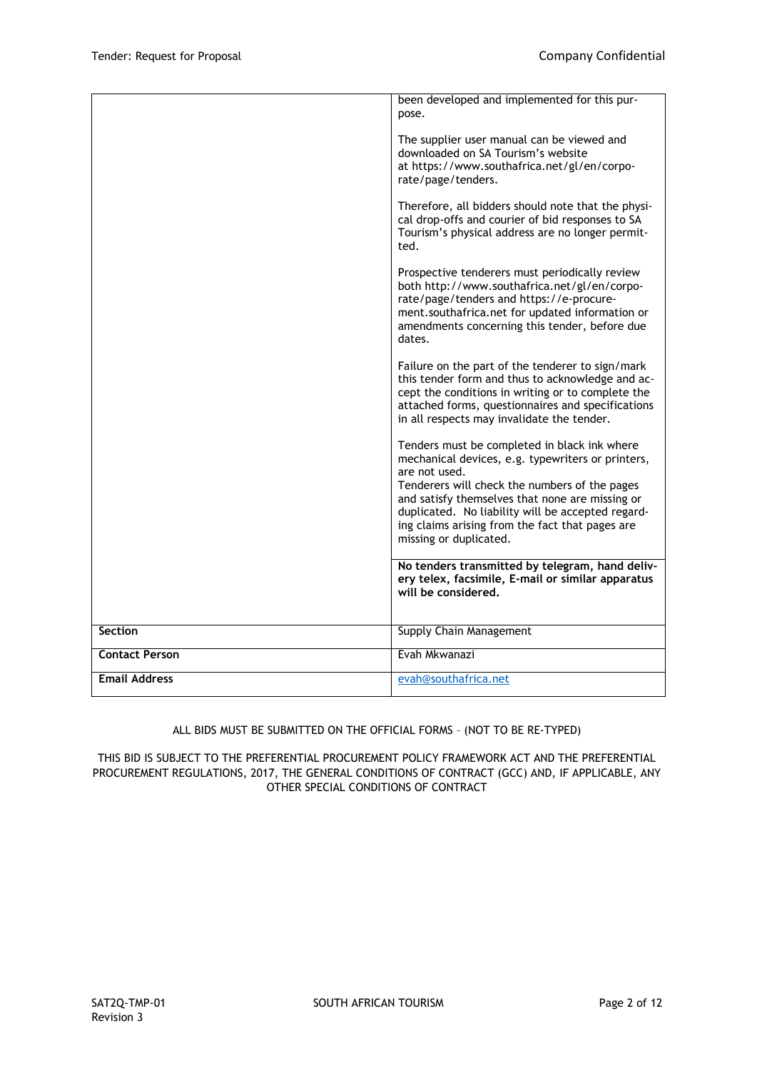|                       | been developed and implemented for this pur-<br>pose.                                                                                                                                                                                                                                                                                                    |
|-----------------------|----------------------------------------------------------------------------------------------------------------------------------------------------------------------------------------------------------------------------------------------------------------------------------------------------------------------------------------------------------|
|                       | The supplier user manual can be viewed and<br>downloaded on SA Tourism's website<br>at https://www.southafrica.net/gl/en/corpo-<br>rate/page/tenders.                                                                                                                                                                                                    |
|                       | Therefore, all bidders should note that the physi-<br>cal drop-offs and courier of bid responses to SA<br>Tourism's physical address are no longer permit-<br>ted.                                                                                                                                                                                       |
|                       | Prospective tenderers must periodically review<br>both http://www.southafrica.net/gl/en/corpo-<br>rate/page/tenders and https://e-procure-<br>ment.southafrica.net for updated information or<br>amendments concerning this tender, before due<br>dates.                                                                                                 |
|                       | Failure on the part of the tenderer to sign/mark<br>this tender form and thus to acknowledge and ac-<br>cept the conditions in writing or to complete the<br>attached forms, questionnaires and specifications<br>in all respects may invalidate the tender.                                                                                             |
|                       | Tenders must be completed in black ink where<br>mechanical devices, e.g. typewriters or printers,<br>are not used.<br>Tenderers will check the numbers of the pages<br>and satisfy themselves that none are missing or<br>duplicated. No liability will be accepted regard-<br>ing claims arising from the fact that pages are<br>missing or duplicated. |
|                       | No tenders transmitted by telegram, hand deliv-<br>ery telex, facsimile, E-mail or similar apparatus<br>will be considered.                                                                                                                                                                                                                              |
| <b>Section</b>        | Supply Chain Management                                                                                                                                                                                                                                                                                                                                  |
| <b>Contact Person</b> | Evah Mkwanazi                                                                                                                                                                                                                                                                                                                                            |
| <b>Email Address</b>  | evah@southafrica.net                                                                                                                                                                                                                                                                                                                                     |

# ALL BIDS MUST BE SUBMITTED ON THE OFFICIAL FORMS – (NOT TO BE RE-TYPED)

THIS BID IS SUBJECT TO THE PREFERENTIAL PROCUREMENT POLICY FRAMEWORK ACT AND THE PREFERENTIAL PROCUREMENT REGULATIONS, 2017, THE GENERAL CONDITIONS OF CONTRACT (GCC) AND, IF APPLICABLE, ANY OTHER SPECIAL CONDITIONS OF CONTRACT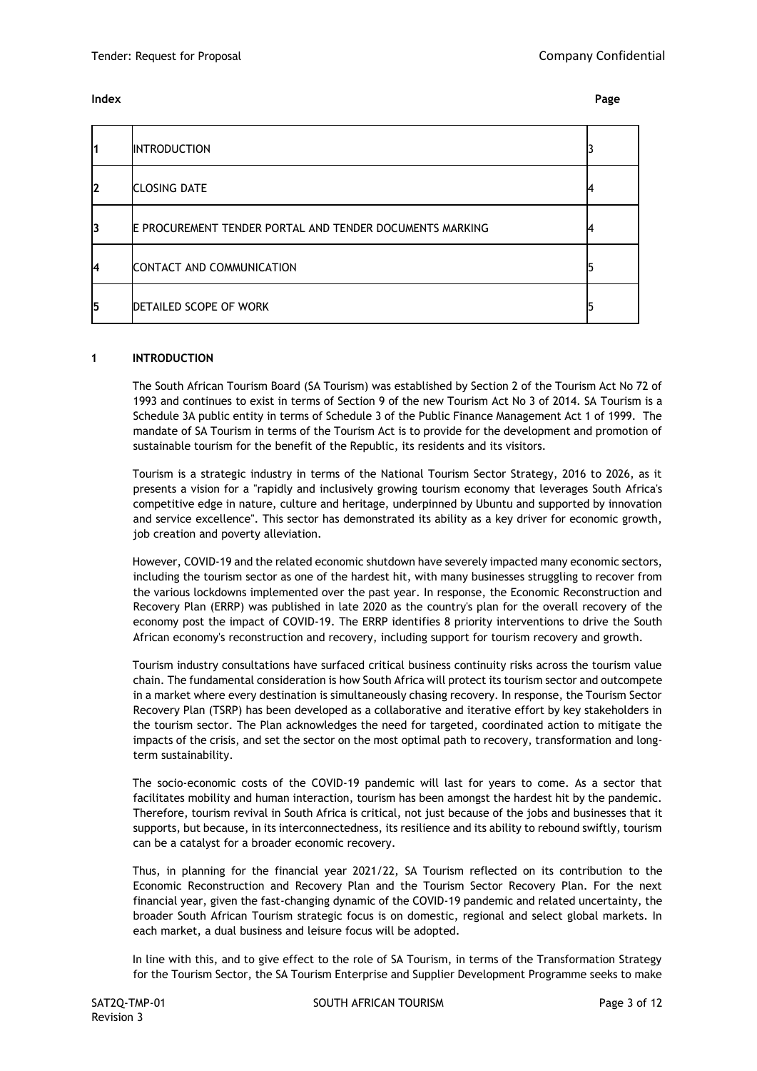## **Index Page**

| 1  | <b>INTRODUCTION</b>                                      |  |
|----|----------------------------------------------------------|--|
| I2 | <b>CLOSING DATE</b>                                      |  |
| l3 | E PROCUREMENT TENDER PORTAL AND TENDER DOCUMENTS MARKING |  |
| I4 | CONTACT AND COMMUNICATION                                |  |
| 15 | <b>DETAILED SCOPE OF WORK</b>                            |  |

## **1 INTRODUCTION**

The South African Tourism Board (SA Tourism) was established by Section 2 of the Tourism Act No 72 of 1993 and continues to exist in terms of Section 9 of the new Tourism Act No 3 of 2014. SA Tourism is a Schedule 3A public entity in terms of Schedule 3 of the Public Finance Management Act 1 of 1999. The mandate of SA Tourism in terms of the Tourism Act is to provide for the development and promotion of sustainable tourism for the benefit of the Republic, its residents and its visitors.

Tourism is a strategic industry in terms of the National Tourism Sector Strategy, 2016 to 2026, as it presents a vision for a "rapidly and inclusively growing tourism economy that leverages South Africa's competitive edge in nature, culture and heritage, underpinned by Ubuntu and supported by innovation and service excellence". This sector has demonstrated its ability as a key driver for economic growth, job creation and poverty alleviation.

However, COVID-19 and the related economic shutdown have severely impacted many economic sectors, including the tourism sector as one of the hardest hit, with many businesses struggling to recover from the various lockdowns implemented over the past year. In response, the Economic Reconstruction and Recovery Plan (ERRP) was published in late 2020 as the country's plan for the overall recovery of the economy post the impact of COVID-19. The ERRP identifies 8 priority interventions to drive the South African economy's reconstruction and recovery, including support for tourism recovery and growth.

Tourism industry consultations have surfaced critical business continuity risks across the tourism value chain. The fundamental consideration is how South Africa will protect its tourism sector and outcompete in a market where every destination is simultaneously chasing recovery. In response, the Tourism Sector Recovery Plan (TSRP) has been developed as a collaborative and iterative effort by key stakeholders in the tourism sector. The Plan acknowledges the need for targeted, coordinated action to mitigate the impacts of the crisis, and set the sector on the most optimal path to recovery, transformation and longterm sustainability.

The socio-economic costs of the COVID-19 pandemic will last for years to come. As a sector that facilitates mobility and human interaction, tourism has been amongst the hardest hit by the pandemic. Therefore, tourism revival in South Africa is critical, not just because of the jobs and businesses that it supports, but because, in its interconnectedness, its resilience and its ability to rebound swiftly, tourism can be a catalyst for a broader economic recovery.

Thus, in planning for the financial year 2021/22, SA Tourism reflected on its contribution to the Economic Reconstruction and Recovery Plan and the Tourism Sector Recovery Plan. For the next financial year, given the fast-changing dynamic of the COVID-19 pandemic and related uncertainty, the broader South African Tourism strategic focus is on domestic, regional and select global markets. In each market, a dual business and leisure focus will be adopted.

In line with this, and to give effect to the role of SA Tourism, in terms of the Transformation Strategy for the Tourism Sector, the SA Tourism Enterprise and Supplier Development Programme seeks to make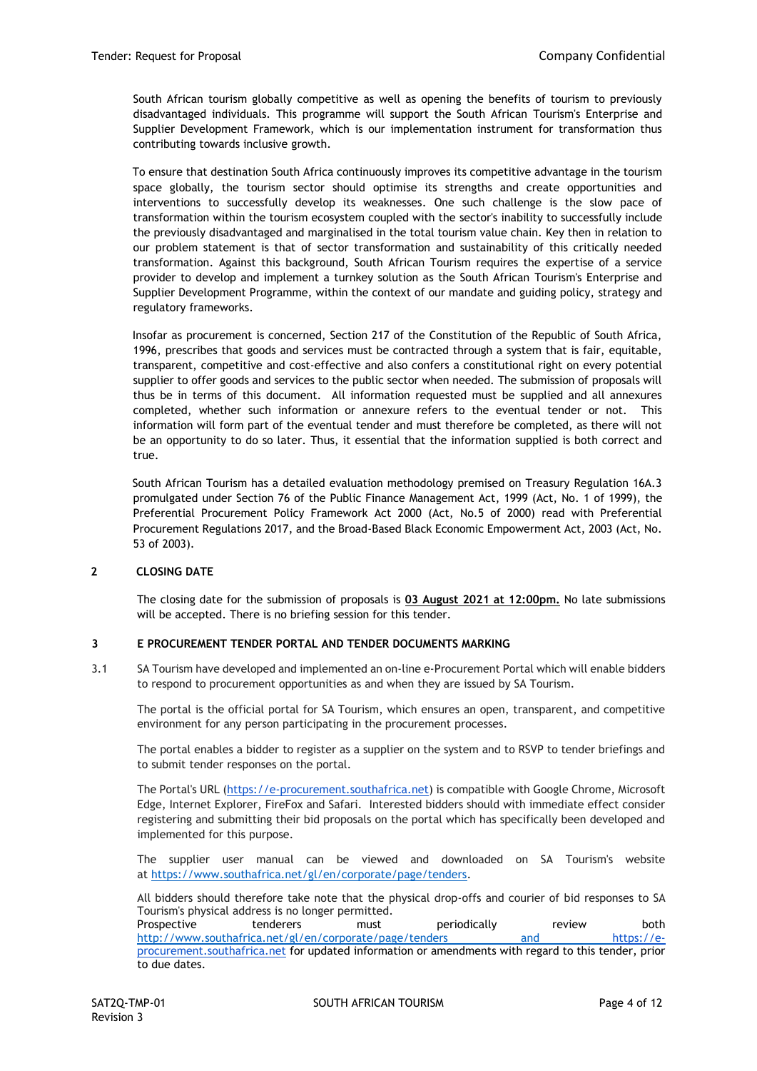South African tourism globally competitive as well as opening the benefits of tourism to previously disadvantaged individuals. This programme will support the South African Tourism's Enterprise and Supplier Development Framework, which is our implementation instrument for transformation thus contributing towards inclusive growth.

To ensure that destination South Africa continuously improves its competitive advantage in the tourism space globally, the tourism sector should optimise its strengths and create opportunities and interventions to successfully develop its weaknesses. One such challenge is the slow pace of transformation within the tourism ecosystem coupled with the sector's inability to successfully include the previously disadvantaged and marginalised in the total tourism value chain. Key then in relation to our problem statement is that of sector transformation and sustainability of this critically needed transformation. Against this background, South African Tourism requires the expertise of a service provider to develop and implement a turnkey solution as the South African Tourism's Enterprise and Supplier Development Programme, within the context of our mandate and guiding policy, strategy and regulatory frameworks.

Insofar as procurement is concerned, Section 217 of the Constitution of the Republic of South Africa, 1996, prescribes that goods and services must be contracted through a system that is fair, equitable, transparent, competitive and cost-effective and also confers a constitutional right on every potential supplier to offer goods and services to the public sector when needed. The submission of proposals will thus be in terms of this document. All information requested must be supplied and all annexures completed, whether such information or annexure refers to the eventual tender or not. This information will form part of the eventual tender and must therefore be completed, as there will not be an opportunity to do so later. Thus, it essential that the information supplied is both correct and true.

South African Tourism has a detailed evaluation methodology premised on Treasury Regulation 16A.3 promulgated under Section 76 of the Public Finance Management Act, 1999 (Act, No. 1 of 1999), the Preferential Procurement Policy Framework Act 2000 (Act, No.5 of 2000) read with Preferential Procurement Regulations 2017, and the Broad-Based Black Economic Empowerment Act, 2003 (Act, No. 53 of 2003).

## **2 CLOSING DATE**

The closing date for the submission of proposals is **03 August 2021 at 12:00pm.** No late submissions will be accepted. There is no briefing session for this tender.

## **3 E PROCUREMENT TENDER PORTAL AND TENDER DOCUMENTS MARKING**

3.1 SA Tourism have developed and implemented an on-line e-Procurement Portal which will enable bidders to respond to procurement opportunities as and when they are issued by SA Tourism.

The portal is the official portal for SA Tourism, which ensures an open, transparent, and competitive environment for any person participating in the procurement processes.

The portal enables a bidder to register as a supplier on the system and to RSVP to tender briefings and to submit tender responses on the portal.

The Portal's URL [\(https://e-procurement.southafrica.net\)](https://e-procurement.southafrica.net/) is compatible with Google Chrome, Microsoft Edge, Internet Explorer, FireFox and Safari. Interested bidders should with immediate effect consider registering and submitting their bid proposals on the portal which has specifically been developed and implemented for this purpose.

The supplier user manual can be viewed and downloaded on SA Tourism's website at [https://www.southafrica.net/gl/en/corporate/page/tenders.](https://www.southafrica.net/gl/en/corporate/page/tenders)

All bidders should therefore take note that the physical drop-offs and courier of bid responses to SA Tourism's physical address is no longer permitted.

Prospective tenderers must periodically review both <http://www.southafrica.net/gl/en/corporate/page/tenders> and [https://e](https://e-procurement.southafrica.net/)[procurement.southafrica.net](https://e-procurement.southafrica.net/) for updated information or amendments with regard to this tender, prior to due dates.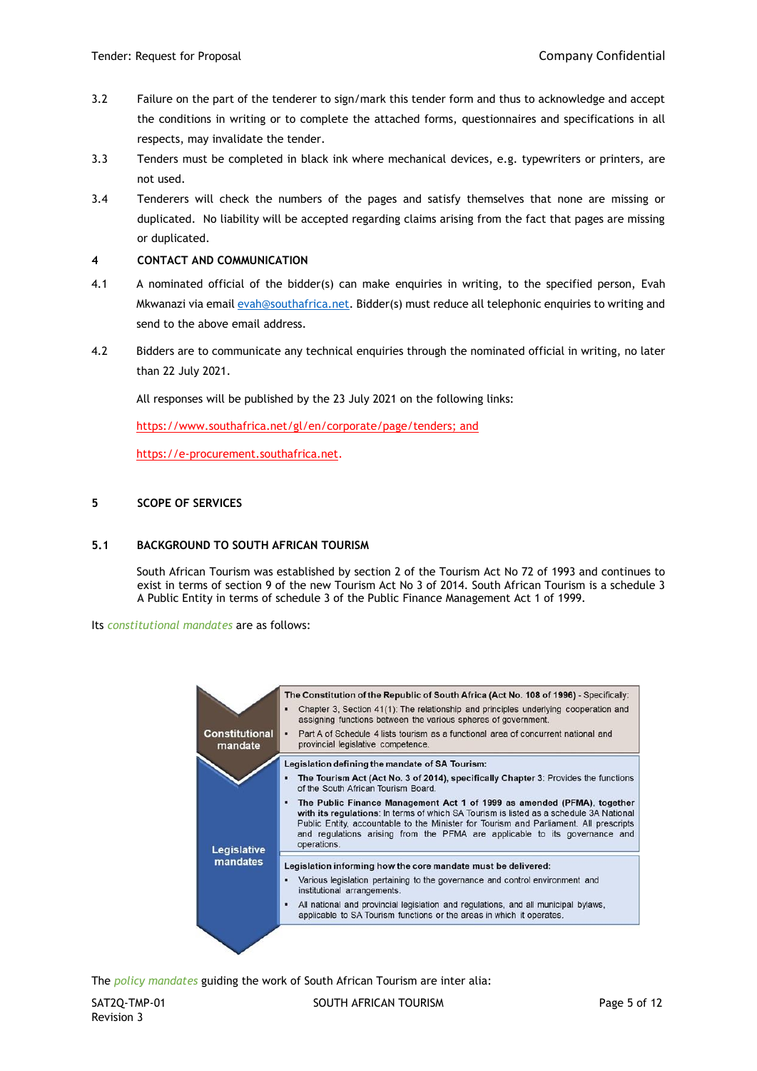- 3.2 Failure on the part of the tenderer to sign/mark this tender form and thus to acknowledge and accept the conditions in writing or to complete the attached forms, questionnaires and specifications in all respects, may invalidate the tender.
- 3.3 Tenders must be completed in black ink where mechanical devices, e.g. typewriters or printers, are not used.
- 3.4 Tenderers will check the numbers of the pages and satisfy themselves that none are missing or duplicated. No liability will be accepted regarding claims arising from the fact that pages are missing or duplicated.

# **4 CONTACT AND COMMUNICATION**

- 4.1 A nominated official of the bidder(s) can make enquiries in writing, to the specified person, Evah Mkwanazi via email [evah@southafrica.net.](mailto:evah@southafrica.net) Bidder(s) must reduce all telephonic enquiries to writing and send to the above email address.
- 4.2 Bidders are to communicate any technical enquiries through the nominated official in writing, no later than 22 July 2021.

All responses will be published by the 23 July 2021 on the following links:

[https://www.southafrica.net/gl/en/corporate/page/tenders;](https://www.southafrica.net/gl/en/corporate/page/tenders) and

[https://e-procurement.southafrica.net.](https://e-procurement.southafrica.net/)

# **5 SCOPE OF SERVICES**

## **5.1 BACKGROUND TO SOUTH AFRICAN TOURISM**

South African Tourism was established by section 2 of the Tourism Act No 72 of 1993 and continues to exist in terms of section 9 of the new Tourism Act No 3 of 2014. South African Tourism is a schedule 3 A Public Entity in terms of schedule 3 of the Public Finance Management Act 1 of 1999.

Its *constitutional mandates* are as follows:



The *policy mandates* guiding the work of South African Tourism are inter alia: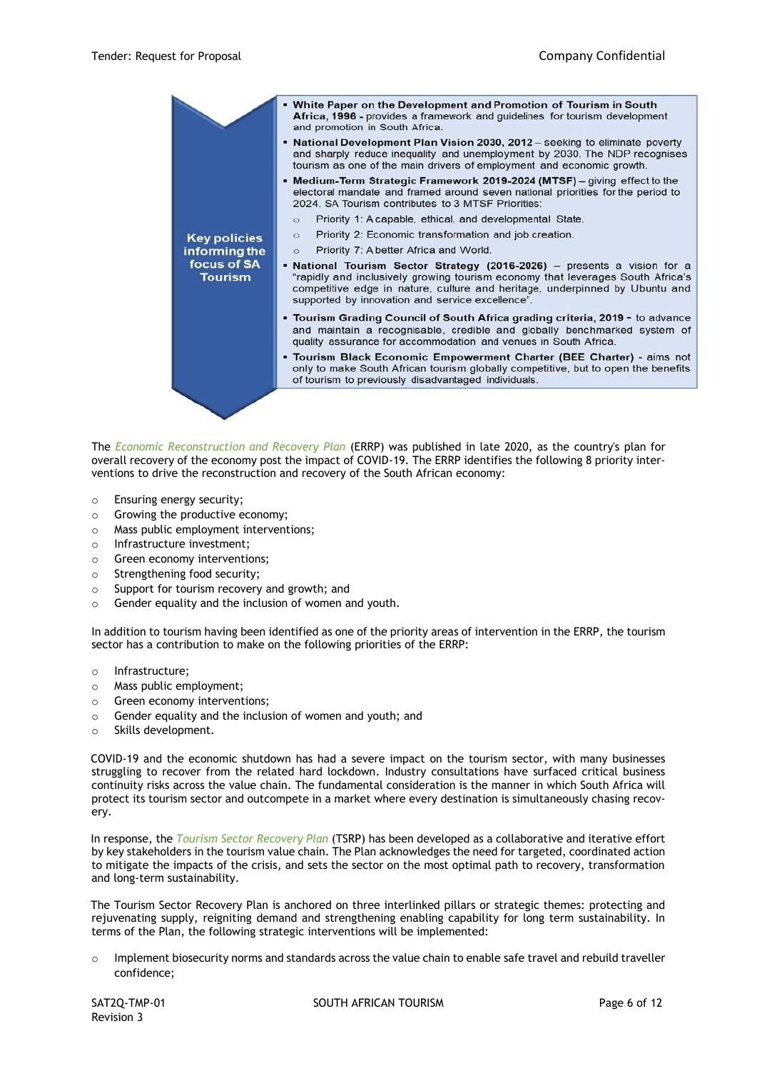

The *Economic Reconstruction and Recovery Plan* (ERRP) was published in late 2020, as the country's plan for overall recovery of the economy post the impact of COVID-19. The ERRP identifies the following 8 priority interventions to drive the reconstruction and recovery of the South African economy:

- o Ensuring energy security;
- o Growing the productive economy;
- o Mass public employment interventions;
- o Infrastructure investment;
- o Green economy interventions;
- o Strengthening food security;
- o Support for tourism recovery and growth; and
- o Gender equality and the inclusion of women and youth.

In addition to tourism having been identified as one of the priority areas of intervention in the ERRP, the tourism sector has a contribution to make on the following priorities of the ERRP:

- o Infrastructure;
- o Mass public employment;
- o Green economy interventions;
- o Gender equality and the inclusion of women and youth; and
- o Skills development.

COVID-19 and the economic shutdown has had a severe impact on the tourism sector, with many businesses struggling to recover from the related hard lockdown. Industry consultations have surfaced critical business continuity risks across the value chain. The fundamental consideration is the manner in which South Africa will protect its tourism sector and outcompete in a market where every destination is simultaneously chasing recovery.

In response, the *Tourism Sector Recovery Plan* (TSRP) has been developed as a collaborative and iterative effort by key stakeholders in the tourism value chain. The Plan acknowledges the need for targeted, coordinated action to mitigate the impacts of the crisis, and sets the sector on the most optimal path to recovery, transformation and long-term sustainability.

The Tourism Sector Recovery Plan is anchored on three interlinked pillars or strategic themes: protecting and rejuvenating supply, reigniting demand and strengthening enabling capability for long term sustainability. In terms of the Plan, the following strategic interventions will be implemented:

 $\circ$  Implement biosecurity norms and standards across the value chain to enable safe travel and rebuild traveller confidence;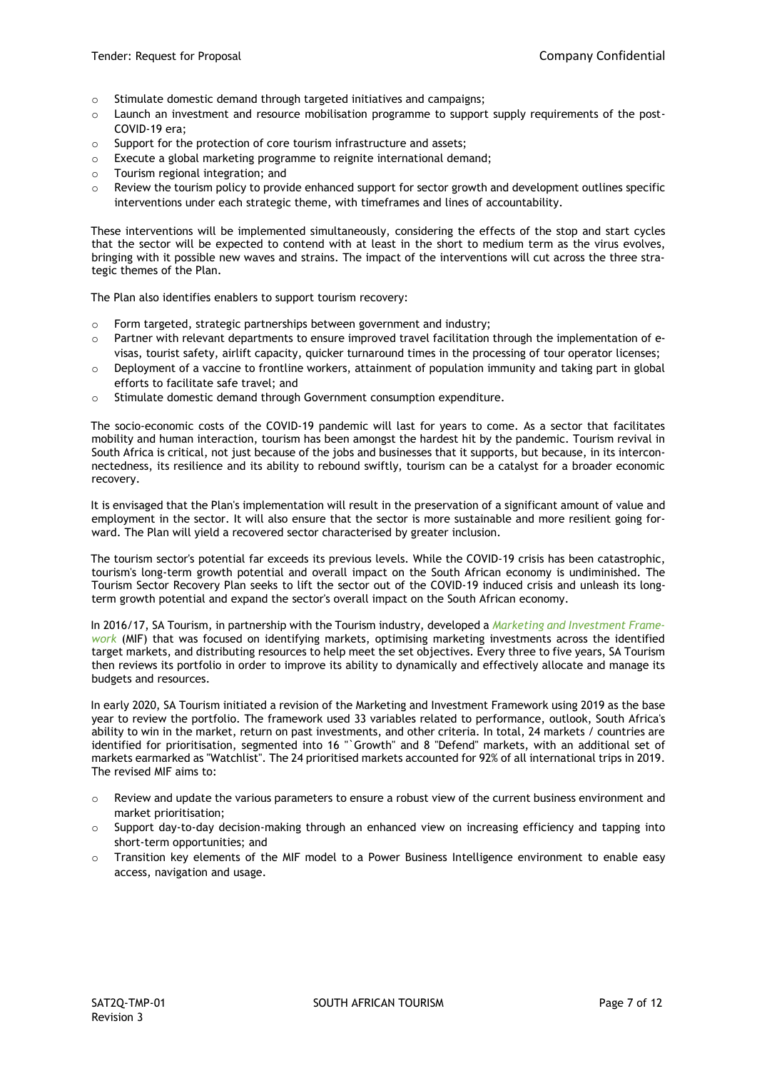- o Stimulate domestic demand through targeted initiatives and campaigns;
- o Launch an investment and resource mobilisation programme to support supply requirements of the post-COVID-19 era;
- o Support for the protection of core tourism infrastructure and assets;
- o Execute a global marketing programme to reignite international demand;
- o Tourism regional integration; and
- o Review the tourism policy to provide enhanced support for sector growth and development outlines specific interventions under each strategic theme, with timeframes and lines of accountability.

These interventions will be implemented simultaneously, considering the effects of the stop and start cycles that the sector will be expected to contend with at least in the short to medium term as the virus evolves, bringing with it possible new waves and strains. The impact of the interventions will cut across the three strategic themes of the Plan.

The Plan also identifies enablers to support tourism recovery:

- o Form targeted, strategic partnerships between government and industry;
- o Partner with relevant departments to ensure improved travel facilitation through the implementation of evisas, tourist safety, airlift capacity, quicker turnaround times in the processing of tour operator licenses;
- $\circ$  Deployment of a vaccine to frontline workers, attainment of population immunity and taking part in global efforts to facilitate safe travel; and
- o Stimulate domestic demand through Government consumption expenditure.

The socio-economic costs of the COVID-19 pandemic will last for years to come. As a sector that facilitates mobility and human interaction, tourism has been amongst the hardest hit by the pandemic. Tourism revival in South Africa is critical, not just because of the jobs and businesses that it supports, but because, in its interconnectedness, its resilience and its ability to rebound swiftly, tourism can be a catalyst for a broader economic recovery.

It is envisaged that the Plan's implementation will result in the preservation of a significant amount of value and employment in the sector. It will also ensure that the sector is more sustainable and more resilient going forward. The Plan will yield a recovered sector characterised by greater inclusion.

The tourism sector's potential far exceeds its previous levels. While the COVID-19 crisis has been catastrophic, tourism's long-term growth potential and overall impact on the South African economy is undiminished. The Tourism Sector Recovery Plan seeks to lift the sector out of the COVID-19 induced crisis and unleash its longterm growth potential and expand the sector's overall impact on the South African economy.

In 2016/17, SA Tourism, in partnership with the Tourism industry, developed a *Marketing and Investment Framework* (MIF) that was focused on identifying markets, optimising marketing investments across the identified target markets, and distributing resources to help meet the set objectives. Every three to five years, SA Tourism then reviews its portfolio in order to improve its ability to dynamically and effectively allocate and manage its budgets and resources.

In early 2020, SA Tourism initiated a revision of the Marketing and Investment Framework using 2019 as the base year to review the portfolio. The framework used 33 variables related to performance, outlook, South Africa's ability to win in the market, return on past investments, and other criteria. In total, 24 markets / countries are identified for prioritisation, segmented into 16 "`Growth" and 8 "Defend" markets, with an additional set of markets earmarked as "Watchlist". The 24 prioritised markets accounted for 92% of all international trips in 2019. The revised MIF aims to:

- $\circ$  Review and update the various parameters to ensure a robust view of the current business environment and market prioritisation;
- $\circ$  Support day-to-day decision-making through an enhanced view on increasing efficiency and tapping into short-term opportunities; and
- o Transition key elements of the MIF model to a Power Business Intelligence environment to enable easy access, navigation and usage.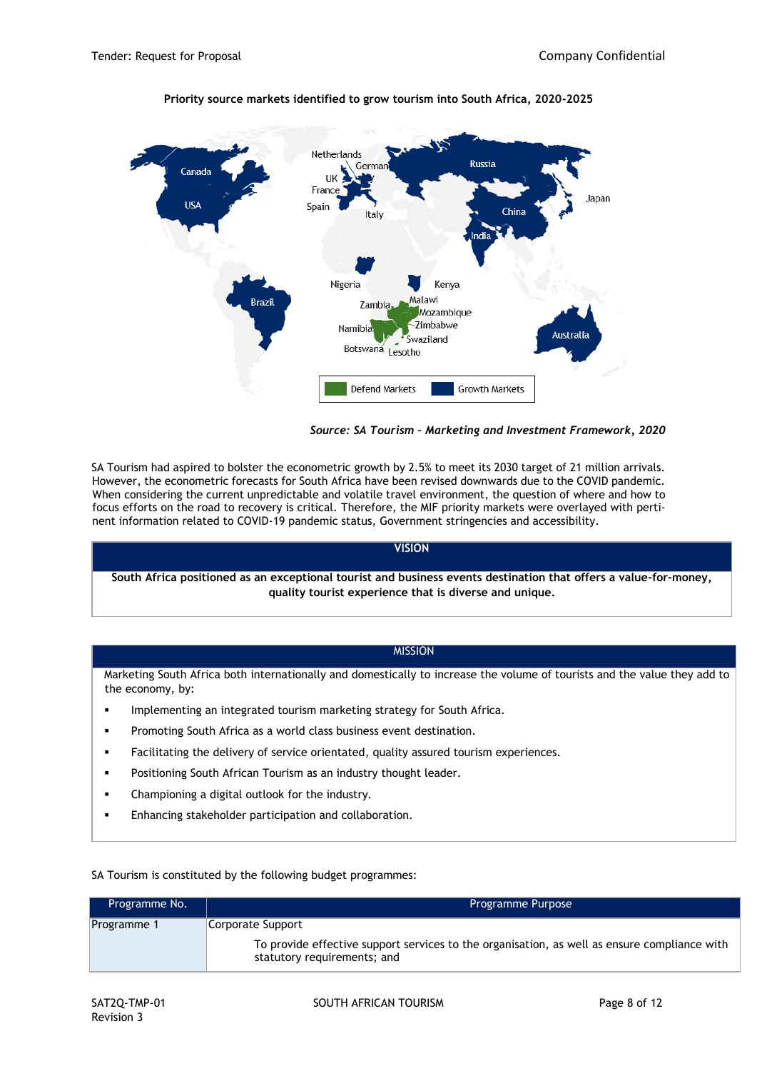

# **Priority source markets identified to grow tourism into South Africa, 2020-2025**

*Source: SA Tourism – Marketing and Investment Framework, 2020*

SA Tourism had aspired to bolster the econometric growth by 2.5% to meet its 2030 target of 21 million arrivals. However, the econometric forecasts for South Africa have been revised downwards due to the COVID pandemic. When considering the current unpredictable and volatile travel environment, the question of where and how to focus efforts on the road to recovery is critical. Therefore, the MIF priority markets were overlayed with pertinent information related to COVID-19 pandemic status, Government stringencies and accessibility.

# **VISION**

**South Africa positioned as an exceptional tourist and business events destination that offers a value-for-money, quality tourist experience that is diverse and unique.**

# **MISSION**

Marketing South Africa both internationally and domestically to increase the volume of tourists and the value they add to the economy, by:

- Implementing an integrated tourism marketing strategy for South Africa.
- Promoting South Africa as a world class business event destination.
- Facilitating the delivery of service orientated, quality assured tourism experiences.
- Positioning South African Tourism as an industry thought leader.
- Championing a digital outlook for the industry.
- Enhancing stakeholder participation and collaboration.

SA Tourism is constituted by the following budget programmes:

| Programme No. | Programme Purpose                                                                                                                                |
|---------------|--------------------------------------------------------------------------------------------------------------------------------------------------|
| Programme 1   | Corporate Support<br>To provide effective support services to the organisation, as well as ensure compliance with<br>statutory requirements; and |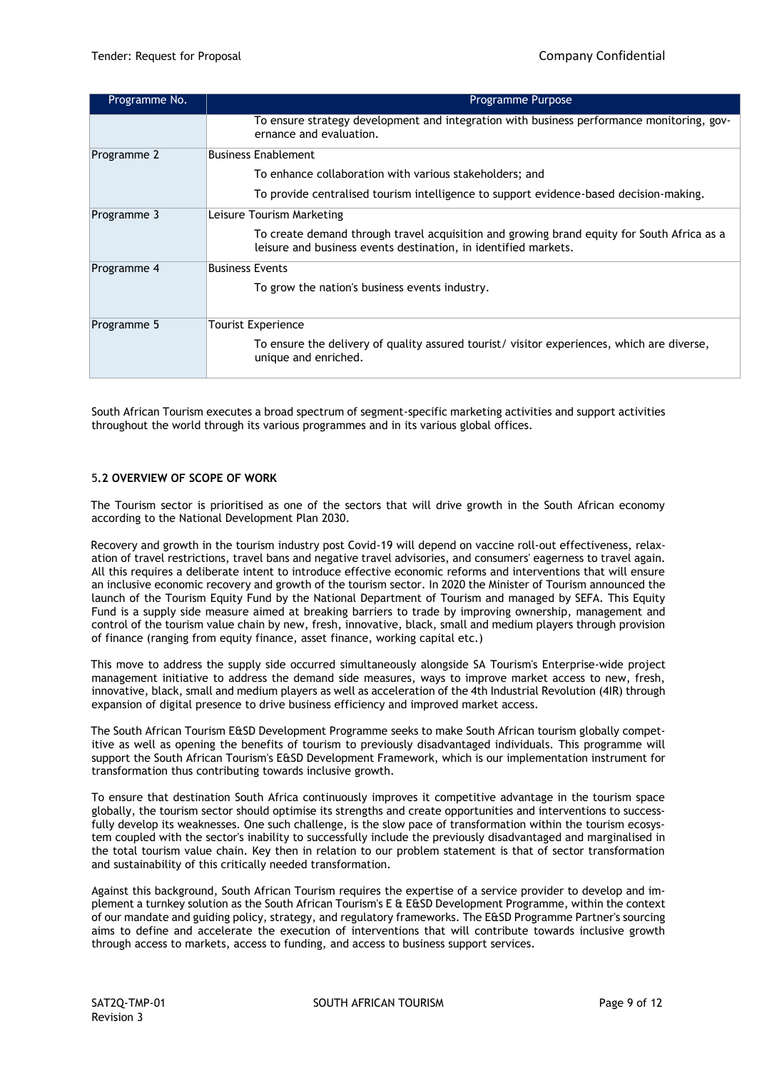| Programme No. | Programme Purpose                                                                                                                                             |
|---------------|---------------------------------------------------------------------------------------------------------------------------------------------------------------|
|               | To ensure strategy development and integration with business performance monitoring, gov-<br>ernance and evaluation.                                          |
| Programme 2   | <b>Business Enablement</b>                                                                                                                                    |
|               | To enhance collaboration with various stakeholders; and                                                                                                       |
|               | To provide centralised tourism intelligence to support evidence-based decision-making.                                                                        |
| Programme 3   | Leisure Tourism Marketing                                                                                                                                     |
|               | To create demand through travel acquisition and growing brand equity for South Africa as a<br>leisure and business events destination, in identified markets. |
| Programme 4   | <b>Business Events</b>                                                                                                                                        |
|               | To grow the nation's business events industry.                                                                                                                |
| Programme 5   | Tourist Experience                                                                                                                                            |
|               | To ensure the delivery of quality assured tourist/ visitor experiences, which are diverse,<br>unique and enriched.                                            |

South African Tourism executes a broad spectrum of segment-specific marketing activities and support activities throughout the world through its various programmes and in its various global offices.

## 5**.2 OVERVIEW OF SCOPE OF WORK**

The Tourism sector is prioritised as one of the sectors that will drive growth in the South African economy according to the National Development Plan 2030.

Recovery and growth in the tourism industry post Covid-19 will depend on vaccine roll-out effectiveness, relaxation of travel restrictions, travel bans and negative travel advisories, and consumers' eagerness to travel again. All this requires a deliberate intent to introduce effective economic reforms and interventions that will ensure an inclusive economic recovery and growth of the tourism sector. In 2020 the Minister of Tourism announced the launch of the Tourism Equity Fund by the National Department of Tourism and managed by SEFA. This Equity Fund is a supply side measure aimed at breaking barriers to trade by improving ownership, management and control of the tourism value chain by new, fresh, innovative, black, small and medium players through provision of finance (ranging from equity finance, asset finance, working capital etc.)

This move to address the supply side occurred simultaneously alongside SA Tourism's Enterprise-wide project management initiative to address the demand side measures, ways to improve market access to new, fresh, innovative, black, small and medium players as well as acceleration of the 4th Industrial Revolution (4IR) through expansion of digital presence to drive business efficiency and improved market access.

The South African Tourism E&SD Development Programme seeks to make South African tourism globally competitive as well as opening the benefits of tourism to previously disadvantaged individuals. This programme will support the South African Tourism's E&SD Development Framework, which is our implementation instrument for transformation thus contributing towards inclusive growth.

To ensure that destination South Africa continuously improves it competitive advantage in the tourism space globally, the tourism sector should optimise its strengths and create opportunities and interventions to successfully develop its weaknesses. One such challenge, is the slow pace of transformation within the tourism ecosystem coupled with the sector's inability to successfully include the previously disadvantaged and marginalised in the total tourism value chain. Key then in relation to our problem statement is that of sector transformation and sustainability of this critically needed transformation.

Against this background, South African Tourism requires the expertise of a service provider to develop and implement a turnkey solution as the South African Tourism's E & E&SD Development Programme, within the context of our mandate and guiding policy, strategy, and regulatory frameworks. The E&SD Programme Partner's sourcing aims to define and accelerate the execution of interventions that will contribute towards inclusive growth through access to markets, access to funding, and access to business support services.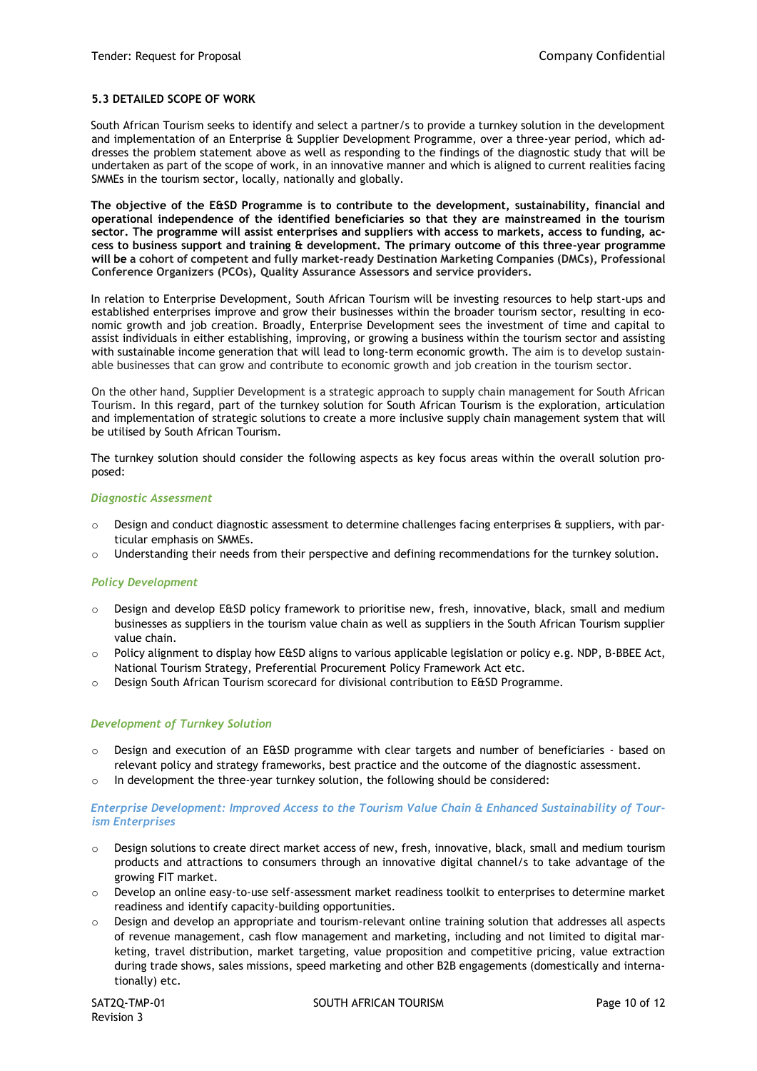#### **5.3 DETAILED SCOPE OF WORK**

South African Tourism seeks to identify and select a partner/s to provide a turnkey solution in the development and implementation of an Enterprise & Supplier Development Programme, over a three-year period, which addresses the problem statement above as well as responding to the findings of the diagnostic study that will be undertaken as part of the scope of work, in an innovative manner and which is aligned to current realities facing SMMEs in the tourism sector, locally, nationally and globally.

**The objective of the E&SD Programme is to contribute to the development, sustainability, financial and operational independence of the identified beneficiaries so that they are mainstreamed in the tourism sector. The programme will assist enterprises and suppliers with access to markets, access to funding, access to business support and training & development. The primary outcome of this three-year programme will be a cohort of competent and fully market-ready Destination Marketing Companies (DMCs), Professional Conference Organizers (PCOs), Quality Assurance Assessors and service providers.**

In relation to Enterprise Development, South African Tourism will be investing resources to help start-ups and established enterprises improve and grow their businesses within the broader tourism sector, resulting in economic growth and job creation. Broadly, Enterprise Development sees the investment of time and capital to assist individuals in either establishing, improving, or growing a business within the tourism sector and assisting with sustainable income generation that will lead to long-term economic growth. The aim is to develop sustainable businesses that can grow and contribute to economic growth and job creation in the tourism sector.

On the other hand, Supplier Development is a strategic approach to supply chain management for South African Tourism. In this regard, part of the turnkey solution for South African Tourism is the exploration, articulation and implementation of strategic solutions to create a more inclusive supply chain management system that will be utilised by South African Tourism.

The turnkey solution should consider the following aspects as key focus areas within the overall solution proposed:

#### *Diagnostic Assessment*

- Design and conduct diagnostic assessment to determine challenges facing enterprises & suppliers, with particular emphasis on SMMEs.
- o Understanding their needs from their perspective and defining recommendations for the turnkey solution.

#### *Policy Development*

- $\circ$  Design and develop E&SD policy framework to prioritise new, fresh, innovative, black, small and medium businesses as suppliers in the tourism value chain as well as suppliers in the South African Tourism supplier value chain.
- o Policy alignment to display how E&SD aligns to various applicable legislation or policy e.g. NDP, B-BBEE Act, National Tourism Strategy, Preferential Procurement Policy Framework Act etc.
- $\circ$  Design South African Tourism scorecard for divisional contribution to E&SD Programme.

#### *Development of Turnkey Solution*

- o Design and execution of an E&SD programme with clear targets and number of beneficiaries based on relevant policy and strategy frameworks, best practice and the outcome of the diagnostic assessment.
- o In development the three-year turnkey solution, the following should be considered:

#### *Enterprise Development: Improved Access to the Tourism Value Chain & Enhanced Sustainability of Tourism Enterprises*

- o Design solutions to create direct market access of new, fresh, innovative, black, small and medium tourism products and attractions to consumers through an innovative digital channel/s to take advantage of the growing FIT market.
- o Develop an online easy-to-use self-assessment market readiness toolkit to enterprises to determine market readiness and identify capacity-building opportunities.
- o Design and develop an appropriate and tourism-relevant online training solution that addresses all aspects of revenue management, cash flow management and marketing, including and not limited to digital marketing, travel distribution, market targeting, value proposition and competitive pricing, value extraction during trade shows, sales missions, speed marketing and other B2B engagements (domestically and internationally) etc.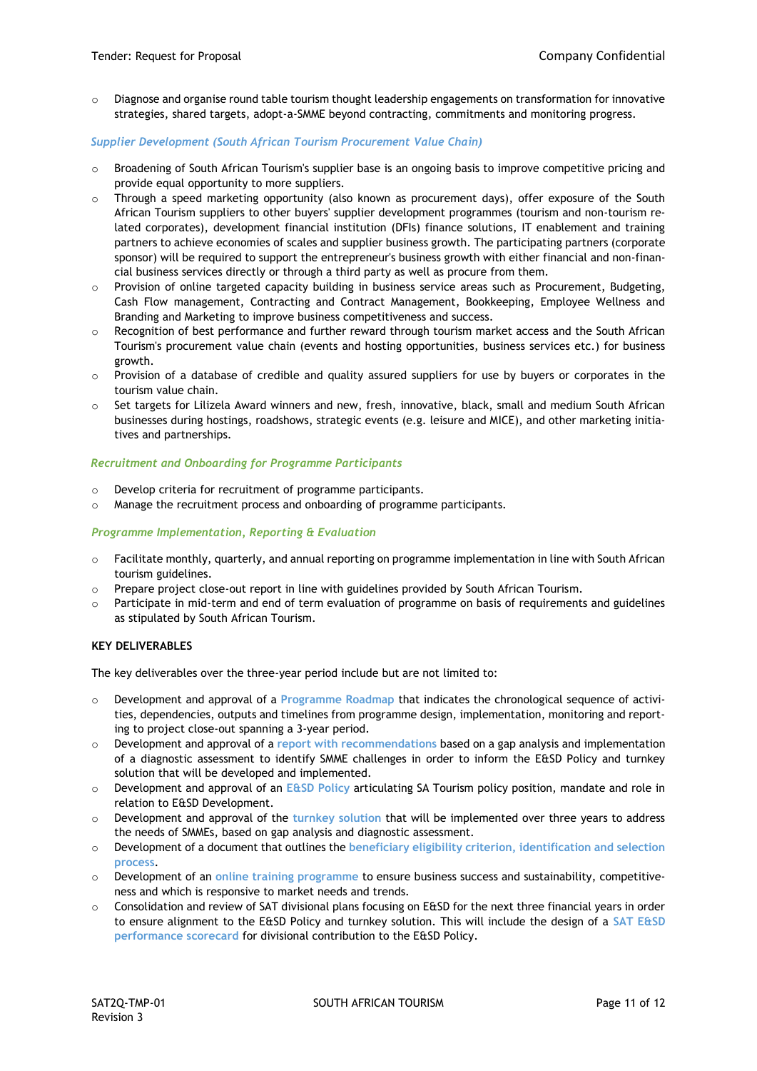o Diagnose and organise round table tourism thought leadership engagements on transformation for innovative strategies, shared targets, adopt-a-SMME beyond contracting, commitments and monitoring progress.

## *Supplier Development (South African Tourism Procurement Value Chain)*

- $\circ$  Broadening of South African Tourism's supplier base is an ongoing basis to improve competitive pricing and provide equal opportunity to more suppliers.
- $\circ$  Through a speed marketing opportunity (also known as procurement days), offer exposure of the South African Tourism suppliers to other buyers' supplier development programmes (tourism and non-tourism related corporates), development financial institution (DFIs) finance solutions, IT enablement and training partners to achieve economies of scales and supplier business growth. The participating partners (corporate sponsor) will be required to support the entrepreneur's business growth with either financial and non-financial business services directly or through a third party as well as procure from them.
- $\circ$  Provision of online targeted capacity building in business service areas such as Procurement, Budgeting, Cash Flow management, Contracting and Contract Management, Bookkeeping, Employee Wellness and Branding and Marketing to improve business competitiveness and success.
- $\circ$  Recognition of best performance and further reward through tourism market access and the South African Tourism's procurement value chain (events and hosting opportunities, business services etc.) for business growth.
- $\circ$  Provision of a database of credible and quality assured suppliers for use by buyers or corporates in the tourism value chain.
- o Set targets for Lilizela Award winners and new, fresh, innovative, black, small and medium South African businesses during hostings, roadshows, strategic events (e.g. leisure and MICE), and other marketing initiatives and partnerships.

## *Recruitment and Onboarding for Programme Participants*

- o Develop criteria for recruitment of programme participants.
- o Manage the recruitment process and onboarding of programme participants.

#### *Programme Implementation, Reporting & Evaluation*

- $\circ$  Facilitate monthly, quarterly, and annual reporting on programme implementation in line with South African tourism guidelines.
- $\circ$  Prepare project close-out report in line with guidelines provided by South African Tourism.
- $\circ$  Participate in mid-term and end of term evaluation of programme on basis of requirements and guidelines as stipulated by South African Tourism.

## **KEY DELIVERABLES**

The key deliverables over the three-year period include but are not limited to:

- o Development and approval of a **Programme Roadmap** that indicates the chronological sequence of activities, dependencies, outputs and timelines from programme design, implementation, monitoring and reporting to project close-out spanning a 3-year period.
- o Development and approval of a **report with recommendations** based on a gap analysis and implementation of a diagnostic assessment to identify SMME challenges in order to inform the E&SD Policy and turnkey solution that will be developed and implemented.
- o Development and approval of an **E&SD Policy** articulating SA Tourism policy position, mandate and role in relation to E&SD Development.
- o Development and approval of the **turnkey solution** that will be implemented over three years to address the needs of SMMEs, based on gap analysis and diagnostic assessment.
- o Development of a document that outlines the **beneficiary eligibility criterion, identification and selection process**.
- o Development of an **online training programme** to ensure business success and sustainability, competitiveness and which is responsive to market needs and trends.
- $\circ$  Consolidation and review of SAT divisional plans focusing on E&SD for the next three financial years in order to ensure alignment to the E&SD Policy and turnkey solution. This will include the design of a **SAT E&SD performance scorecard** for divisional contribution to the E&SD Policy.